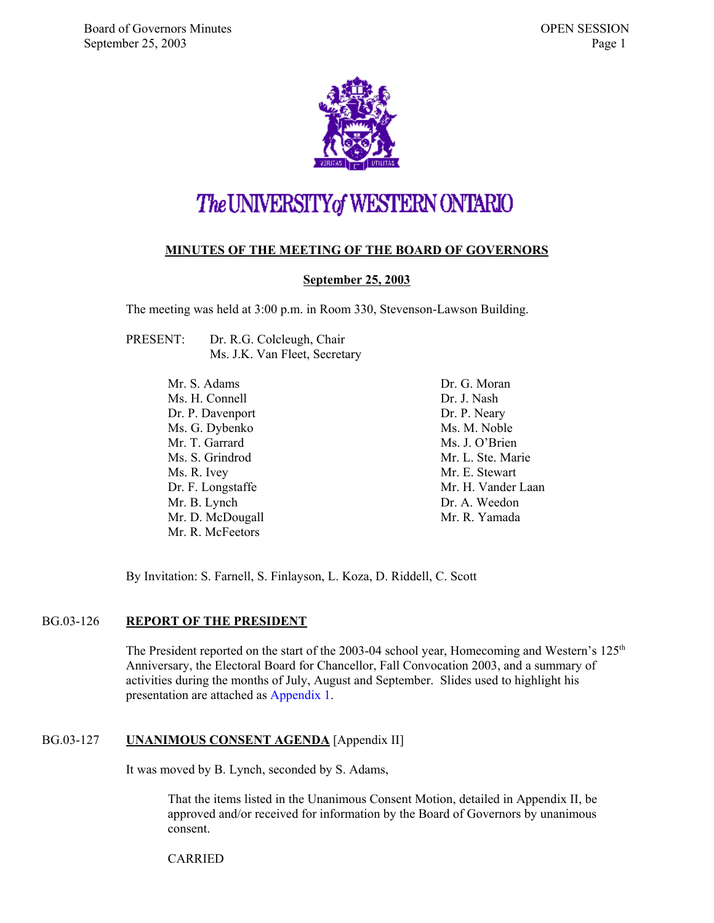

### The UNIVERSITY of WESTERN ONTARIO

#### **MINUTES OF THE MEETING OF THE BOARD OF GOVERNORS**

#### **September 25, 2003**

The meeting was held at 3:00 p.m. in Room 330, Stevenson-Lawson Building.

| PRESENT: | Dr. R.G. Colcleugh, Chair     |
|----------|-------------------------------|
|          | Ms. J.K. Van Fleet, Secretary |

Mr. S. Adams Ms. H. Connell Dr. P. Davenport Ms. G. Dybenko Mr. T. Garrard Ms. S. Grindrod Ms. R. Ivey Dr. F. Longstaffe Mr. B. Lynch Mr. D. McDougall Mr. R. McFeetors

Dr. G. Moran Dr. J. Nash Dr. P. Neary Ms. M. Noble Ms. J. O'Brien Mr. L. Ste. Marie Mr. E. Stewart Mr. H. Vander Laan Dr. A. Weedon Mr. R. Yamada

By Invitation: S. Farnell, S. Finlayson, L. Koza, D. Riddell, C. Scott

#### BG.03-126 **REPORT OF THE PRESIDENT**

The President reported on the start of the 2003-04 school year, Homecoming and Western's  $125<sup>th</sup>$ Anniversary, the Electoral Board for Chancellor, Fall Convocation 2003, and a summary of activities during the months of July, August and September. Slides used to highlight his presentation are attached as [Appendix 1.](#page-7-0)

#### BG.03-127 **UNANIMOUS CONSENT AGENDA** [Appendix II]

It was moved by B. Lynch, seconded by S. Adams,

That the items listed in the Unanimous Consent Motion, detailed in Appendix II, be approved and/or received for information by the Board of Governors by unanimous consent.

CARRIED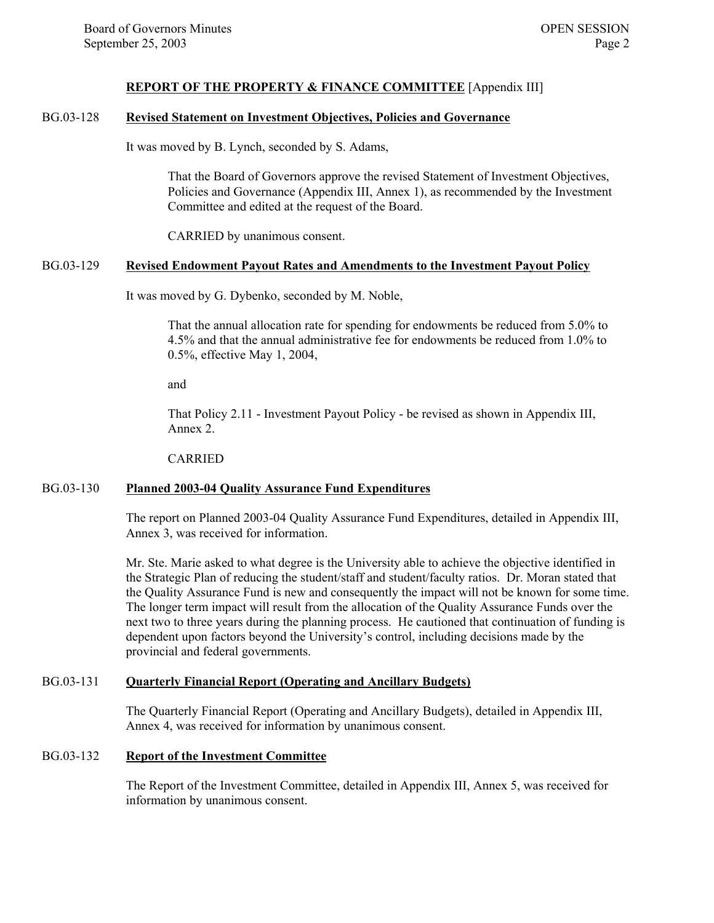#### **REPORT OF THE PROPERTY & FINANCE COMMITTEE** [Appendix III]

#### BG.03-128 **Revised Statement on Investment Objectives, Policies and Governance**

It was moved by B. Lynch, seconded by S. Adams,

That the Board of Governors approve the revised Statement of Investment Objectives, Policies and Governance (Appendix III, Annex 1), as recommended by the Investment Committee and edited at the request of the Board.

CARRIED by unanimous consent.

#### BG.03-129 **Revised Endowment Payout Rates and Amendments to the Investment Payout Policy**

It was moved by G. Dybenko, seconded by M. Noble,

That the annual allocation rate for spending for endowments be reduced from 5.0% to 4.5% and that the annual administrative fee for endowments be reduced from 1.0% to 0.5%, effective May 1, 2004,

and

That Policy 2.11 - Investment Payout Policy - be revised as shown in Appendix III, Annex 2.

CARRIED

#### BG.03-130 **Planned 2003-04 Quality Assurance Fund Expenditures**

The report on Planned 2003-04 Quality Assurance Fund Expenditures, detailed in Appendix III, Annex 3, was received for information.

Mr. Ste. Marie asked to what degree is the University able to achieve the objective identified in the Strategic Plan of reducing the student/staff and student/faculty ratios. Dr. Moran stated that the Quality Assurance Fund is new and consequently the impact will not be known for some time. The longer term impact will result from the allocation of the Quality Assurance Funds over the next two to three years during the planning process. He cautioned that continuation of funding is dependent upon factors beyond the University's control, including decisions made by the provincial and federal governments.

#### BG.03-131 **Quarterly Financial Report (Operating and Ancillary Budgets)**

The Quarterly Financial Report (Operating and Ancillary Budgets), detailed in Appendix III, Annex 4, was received for information by unanimous consent.

#### BG.03-132 **Report of the Investment Committee**

The Report of the Investment Committee, detailed in Appendix III, Annex 5, was received for information by unanimous consent.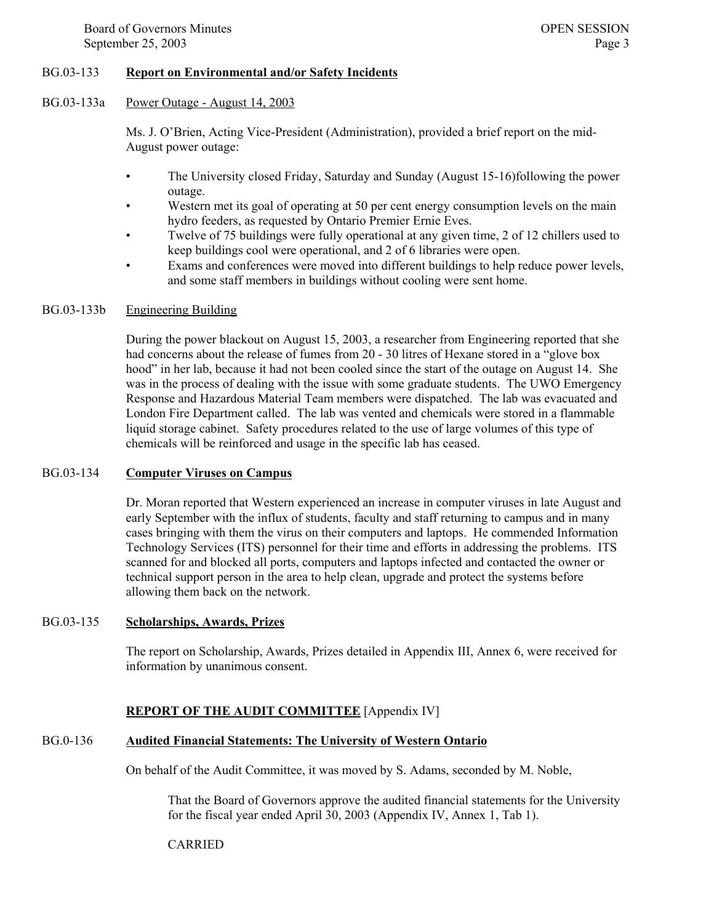#### BG.03-133 **Report on Environmental and/or Safety Incidents**

#### BG.03-133a Power Outage - August 14, 2003

Ms. J. O'Brien, Acting Vice-President (Administration), provided a brief report on the mid-August power outage:

- The University closed Friday, Saturday and Sunday (August 15-16)following the power outage.
- Western met its goal of operating at 50 per cent energy consumption levels on the main hydro feeders, as requested by Ontario Premier Ernie Eves.
- Twelve of 75 buildings were fully operational at any given time, 2 of 12 chillers used to keep buildings cool were operational, and 2 of 6 libraries were open.
- Exams and conferences were moved into different buildings to help reduce power levels, and some staff members in buildings without cooling were sent home.

#### BG.03-133b Engineering Building

During the power blackout on August 15, 2003, a researcher from Engineering reported that she had concerns about the release of fumes from 20 - 30 litres of Hexane stored in a "glove box" hood" in her lab, because it had not been cooled since the start of the outage on August 14. She was in the process of dealing with the issue with some graduate students. The UWO Emergency Response and Hazardous Material Team members were dispatched. The lab was evacuated and London Fire Department called. The lab was vented and chemicals were stored in a flammable liquid storage cabinet. Safety procedures related to the use of large volumes of this type of chemicals will be reinforced and usage in the specific lab has ceased.

#### BG.03-134 **Computer Viruses on Campus**

Dr. Moran reported that Western experienced an increase in computer viruses in late August and early September with the influx of students, faculty and staff returning to campus and in many cases bringing with them the virus on their computers and laptops. He commended Information Technology Services (ITS) personnel for their time and efforts in addressing the problems. ITS scanned for and blocked all ports, computers and laptops infected and contacted the owner or technical support person in the area to help clean, upgrade and protect the systems before allowing them back on the network.

#### BG.03-135 **Scholarships, Awards, Prizes**

The report on Scholarship, Awards, Prizes detailed in Appendix III, Annex 6, were received for information by unanimous consent.

#### **REPORT OF THE AUDIT COMMITTEE** [Appendix IV]

#### BG.0-136 **Audited Financial Statements: The University of Western Ontario**

On behalf of the Audit Committee, it was moved by S. Adams, seconded by M. Noble,

That the Board of Governors approve the audited financial statements for the University for the fiscal year ended April 30, 2003 (Appendix IV, Annex 1, Tab 1).

#### CARRIED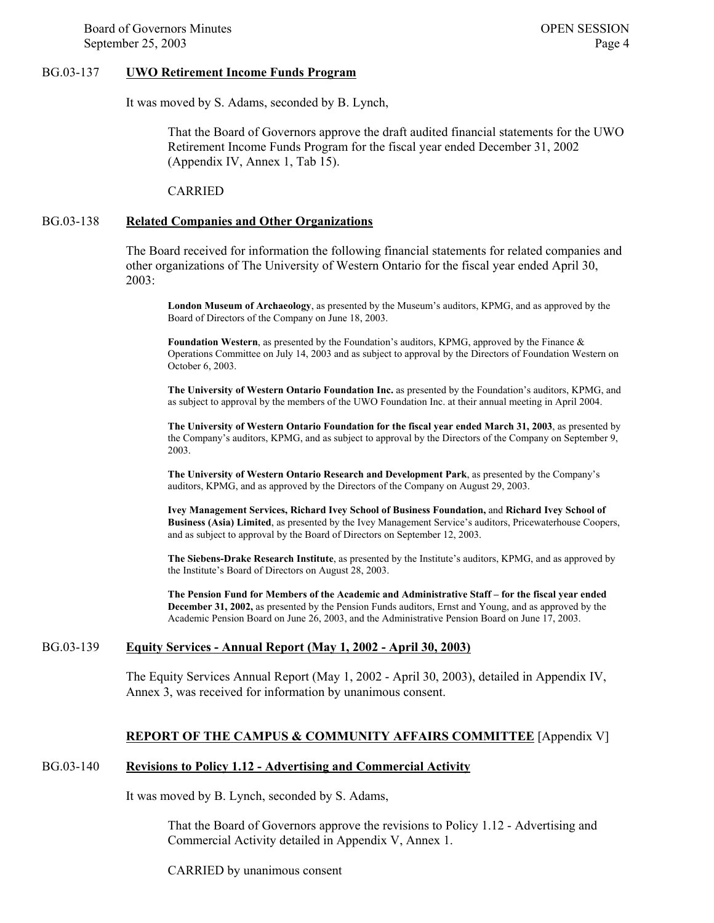Board of Governors Minutes **OPEN SESSION** September 25, 2003 Page 4

#### BG.03-137 **UWO Retirement Income Funds Program**

It was moved by S. Adams, seconded by B. Lynch,

That the Board of Governors approve the draft audited financial statements for the UWO Retirement Income Funds Program for the fiscal year ended December 31, 2002 (Appendix IV, Annex 1, Tab 15).

CARRIED

#### BG.03-138 **Related Companies and Other Organizations**

The Board received for information the following financial statements for related companies and other organizations of The University of Western Ontario for the fiscal year ended April 30, 2003:

**London Museum of Archaeology**, as presented by the Museum's auditors, KPMG, and as approved by the Board of Directors of the Company on June 18, 2003.

**Foundation Western**, as presented by the Foundation's auditors, KPMG, approved by the Finance & Operations Committee on July 14, 2003 and as subject to approval by the Directors of Foundation Western on October 6, 2003.

**The University of Western Ontario Foundation Inc.** as presented by the Foundation's auditors, KPMG, and as subject to approval by the members of the UWO Foundation Inc. at their annual meeting in April 2004.

**The University of Western Ontario Foundation for the fiscal year ended March 31, 2003**, as presented by the Company's auditors, KPMG, and as subject to approval by the Directors of the Company on September 9, 2003.

**The University of Western Ontario Research and Development Park**, as presented by the Company's auditors, KPMG, and as approved by the Directors of the Company on August 29, 2003.

**Ivey Management Services, Richard Ivey School of Business Foundation,** and **Richard Ivey School of Business (Asia) Limited**, as presented by the Ivey Management Service's auditors, Pricewaterhouse Coopers, and as subject to approval by the Board of Directors on September 12, 2003.

**The Siebens-Drake Research Institute**, as presented by the Institute's auditors, KPMG, and as approved by the Institute's Board of Directors on August 28, 2003.

**The Pension Fund for Members of the Academic and Administrative Staff – for the fiscal year ended December 31, 2002,** as presented by the Pension Funds auditors, Ernst and Young, and as approved by the Academic Pension Board on June 26, 2003, and the Administrative Pension Board on June 17, 2003.

#### BG.03-139 **Equity Services - Annual Report (May 1, 2002 - April 30, 2003)**

The Equity Services Annual Report (May 1, 2002 - April 30, 2003), detailed in Appendix IV, Annex 3, was received for information by unanimous consent.

#### **REPORT OF THE CAMPUS & COMMUNITY AFFAIRS COMMITTEE** [Appendix V]

#### BG.03-140 **Revisions to Policy 1.12 - Advertising and Commercial Activity**

It was moved by B. Lynch, seconded by S. Adams,

That the Board of Governors approve the revisions to Policy 1.12 - Advertising and Commercial Activity detailed in Appendix V, Annex 1.

CARRIED by unanimous consent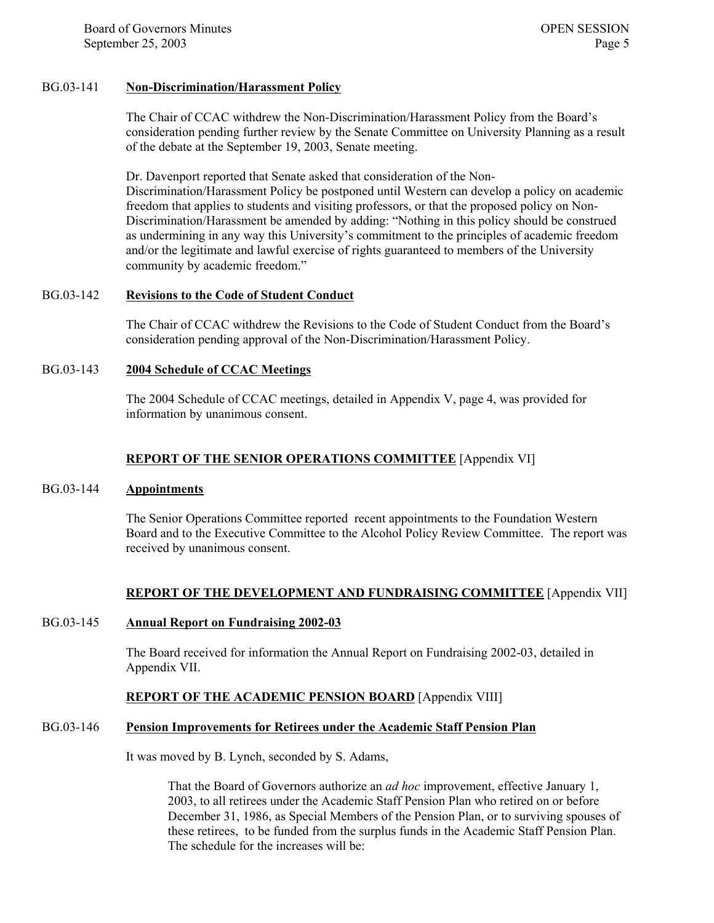#### BG.03-141 **Non-Discrimination/Harassment Policy**

The Chair of CCAC withdrew the Non-Discrimination/Harassment Policy from the Board's consideration pending further review by the Senate Committee on University Planning as a result of the debate at the September 19, 2003, Senate meeting.

Dr. Davenport reported that Senate asked that consideration of the Non-Discrimination/Harassment Policy be postponed until Western can develop a policy on academic freedom that applies to students and visiting professors, or that the proposed policy on Non-Discrimination/Harassment be amended by adding: "Nothing in this policy should be construed as undermining in any way this University's commitment to the principles of academic freedom and/or the legitimate and lawful exercise of rights guaranteed to members of the University community by academic freedom."

#### BG.03-142 **Revisions to the Code of Student Conduct**

The Chair of CCAC withdrew the Revisions to the Code of Student Conduct from the Board's consideration pending approval of the Non-Discrimination/Harassment Policy.

#### BG.03-143 **2004 Schedule of CCAC Meetings**

The 2004 Schedule of CCAC meetings, detailed in Appendix V, page 4, was provided for information by unanimous consent.

#### **REPORT OF THE SENIOR OPERATIONS COMMITTEE** [Appendix VI]

#### BG.03-144 **Appointments**

The Senior Operations Committee reported recent appointments to the Foundation Western Board and to the Executive Committee to the Alcohol Policy Review Committee. The report was received by unanimous consent.

#### **REPORT OF THE DEVELOPMENT AND FUNDRAISING COMMITTEE** [Appendix VII]

#### BG.03-145 **Annual Report on Fundraising 2002-03**

The Board received for information the Annual Report on Fundraising 2002-03, detailed in Appendix VII.

#### **REPORT OF THE ACADEMIC PENSION BOARD** [Appendix VIII]

#### BG.03-146 **Pension Improvements for Retirees under the Academic Staff Pension Plan**

It was moved by B. Lynch, seconded by S. Adams,

That the Board of Governors authorize an *ad hoc* improvement, effective January 1, 2003, to all retirees under the Academic Staff Pension Plan who retired on or before December 31, 1986, as Special Members of the Pension Plan, or to surviving spouses of these retirees, to be funded from the surplus funds in the Academic Staff Pension Plan. The schedule for the increases will be: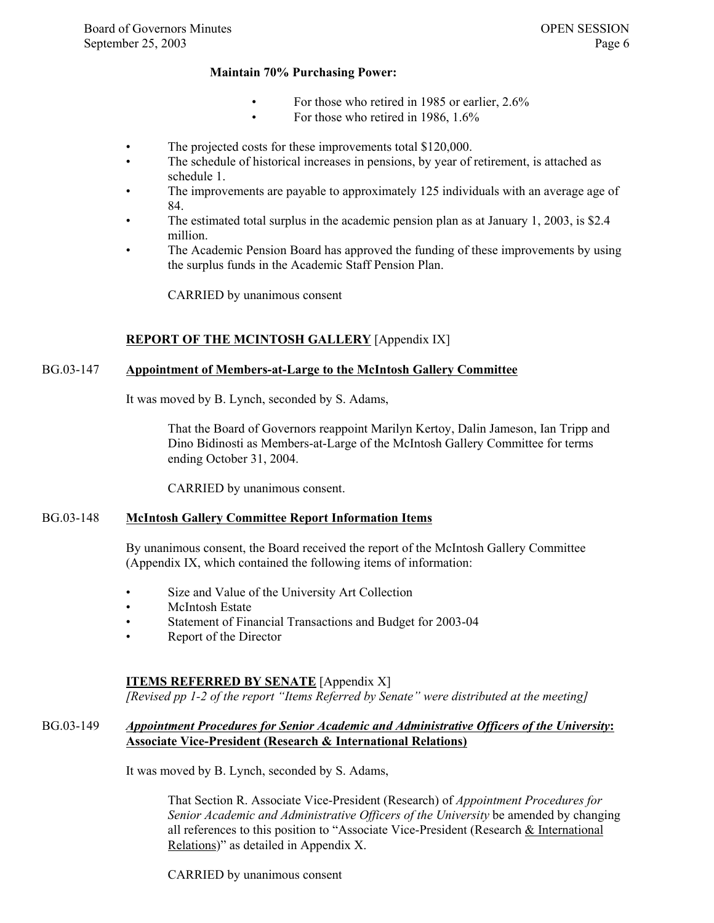#### **Maintain 70% Purchasing Power:**

- For those who retired in 1985 or earlier, 2.6%
- For those who retired in 1986, 1.6%
- The projected costs for these improvements total \$120,000.
- The schedule of historical increases in pensions, by year of retirement, is attached as schedule 1.
- The improvements are payable to approximately 125 individuals with an average age of 84.
- The estimated total surplus in the academic pension plan as at January 1, 2003, is \$2.4 million.
- The Academic Pension Board has approved the funding of these improvements by using the surplus funds in the Academic Staff Pension Plan.

CARRIED by unanimous consent

#### **REPORT OF THE MCINTOSH GALLERY** [Appendix IX]

#### BG.03-147 **Appointment of Members-at-Large to the McIntosh Gallery Committee**

It was moved by B. Lynch, seconded by S. Adams,

 That the Board of Governors reappoint Marilyn Kertoy, Dalin Jameson, Ian Tripp and Dino Bidinosti as Members-at-Large of the McIntosh Gallery Committee for terms ending October 31, 2004.

CARRIED by unanimous consent.

#### BG.03-148 **McIntosh Gallery Committee Report Information Items**

By unanimous consent, the Board received the report of the McIntosh Gallery Committee (Appendix IX, which contained the following items of information:

- Size and Value of the University Art Collection
- McIntosh Estate
- Statement of Financial Transactions and Budget for 2003-04
- Report of the Director

#### **ITEMS REFERRED BY SENATE** [Appendix X]

*[Revised pp 1-2 of the report "Items Referred by Senate" were distributed at the meeting]*

#### BG.03-149 *Appointment Procedures for Senior Academic and Administrative Officers of the University***: Associate Vice-President (Research & International Relations)**

It was moved by B. Lynch, seconded by S. Adams,

That Section R. Associate Vice-President (Research) of *Appointment Procedures for Senior Academic and Administrative Officers of the University* be amended by changing all references to this position to "Associate Vice-President (Research & International Relations)" as detailed in Appendix X.

CARRIED by unanimous consent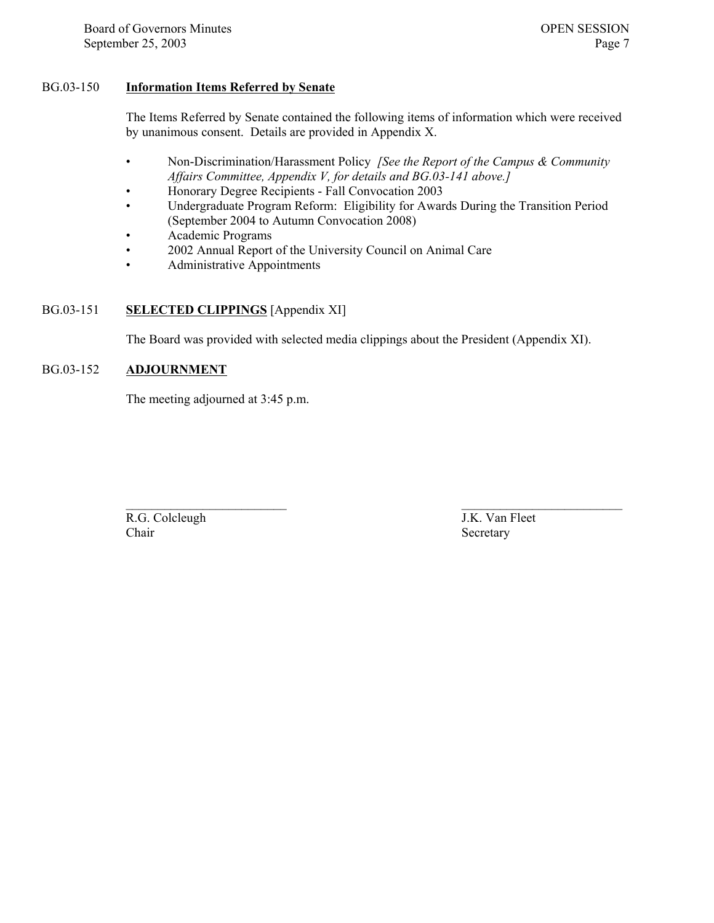#### BG.03-150 **Information Items Referred by Senate**

The Items Referred by Senate contained the following items of information which were received by unanimous consent. Details are provided in Appendix X.

- Non-Discrimination/Harassment Policy *[See the Report of the Campus & Community Affairs Committee, Appendix V, for details and BG.03-141 above.]*
- Honorary Degree Recipients Fall Convocation 2003
- Undergraduate Program Reform: Eligibility for Awards During the Transition Period (September 2004 to Autumn Convocation 2008)
- Academic Programs
- 2002 Annual Report of the University Council on Animal Care
- Administrative Appointments

#### BG.03-151 **SELECTED CLIPPINGS** [Appendix XI]

The Board was provided with selected media clippings about the President (Appendix XI).

#### BG.03-152 **ADJOURNMENT**

The meeting adjourned at 3:45 p.m.

 $\mathcal{L}_\text{max}$  and the contract of the contract of the contract of the contract of the contract of the contract of the contract of the contract of the contract of the contract of the contract of the contract of the contrac R.G. Colcleugh J.K. Van Fleet Chair Secretary Secretary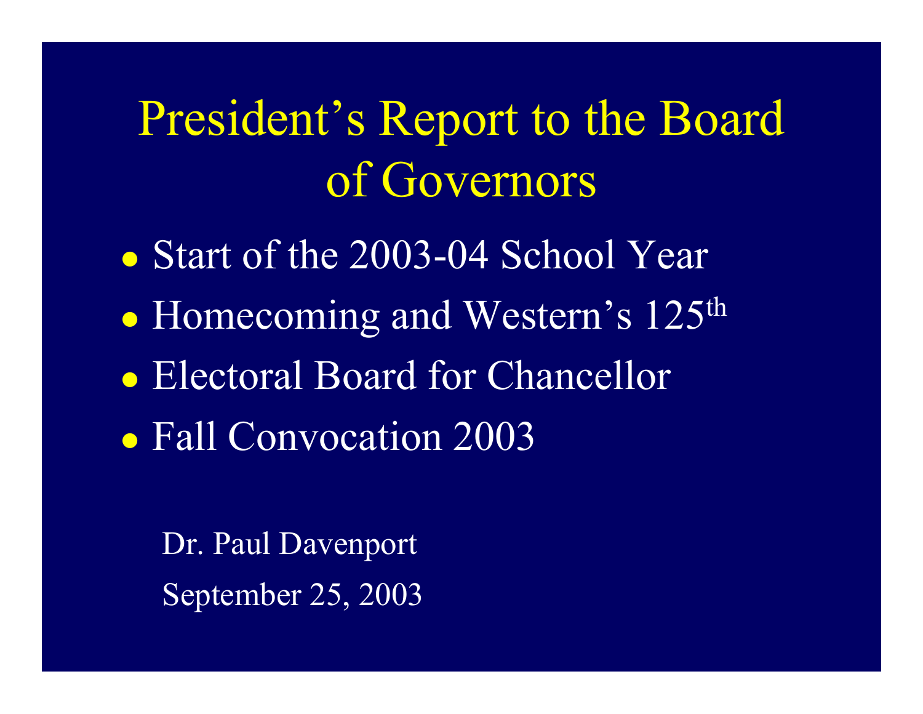# <span id="page-7-0"></span>President's Report to the Board of Governors

- Start of the 2003-04 School Year
- $\bullet$ • Homecoming and Western's 125<sup>th</sup>
- Electoral Board for Chancellor
- Fall Convocation 2003

Dr. Paul Davenport September 25, 2003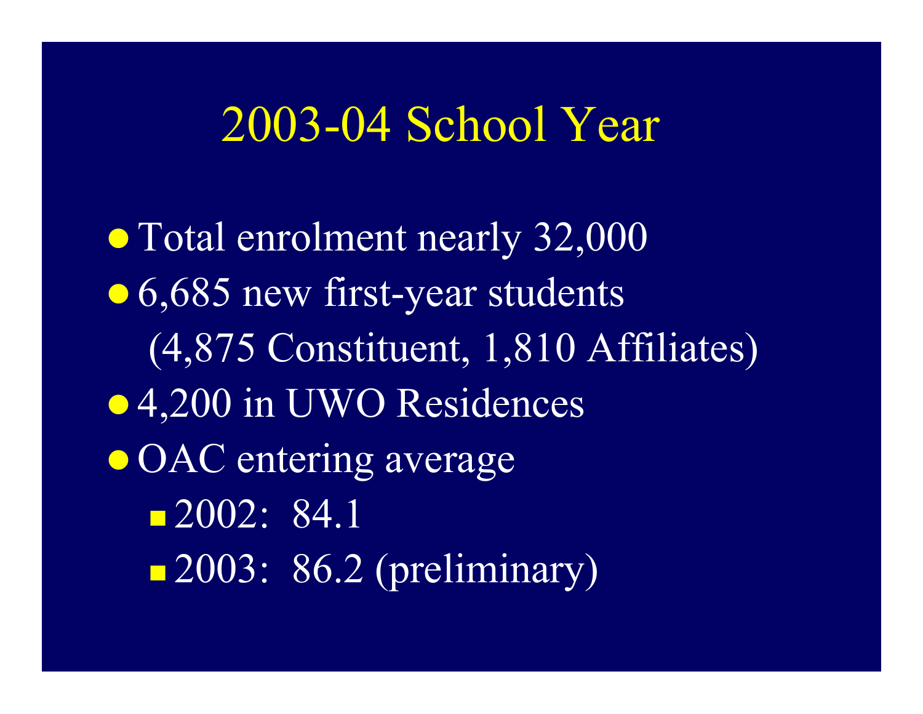## 2003-04 School Year

• Total enrolment nearly 32,000 • 6,685 new first-year students (4,875 Constituent, 1,810 Affiliates) • 4,200 in UWO Residences • OAC entering average 2002: 84.1 **2003: 86.2 (preliminary)**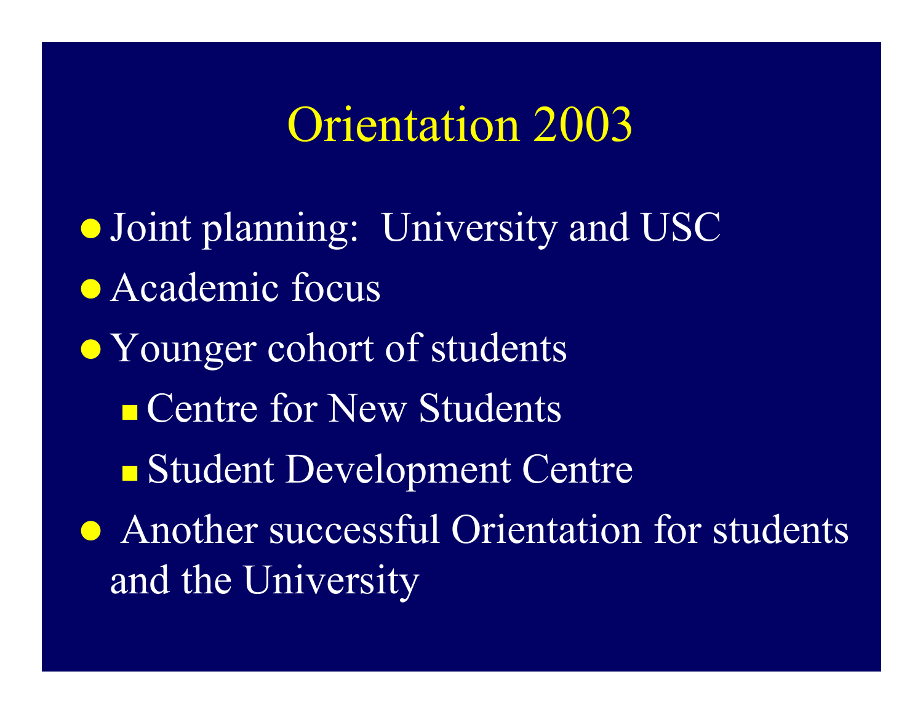## Orientation 2003

- **Joint planning: University and USC**
- Academic focus
- Younger cohort of students **Centre for New Students** 
	- **Student Development Centre**
- Another successful Orientation for students and the University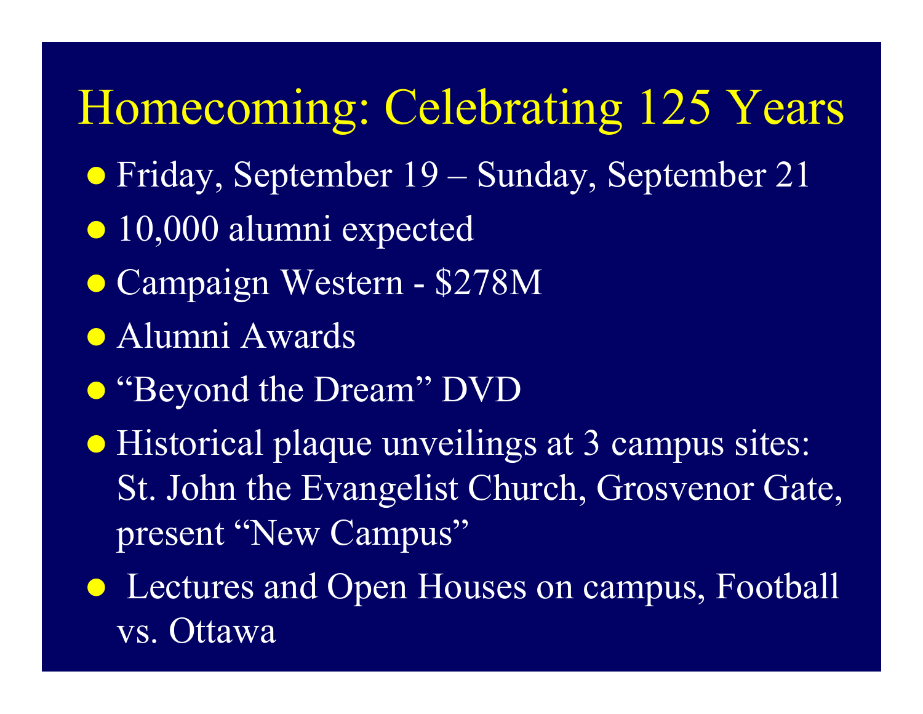Homecoming: Celebrating 125 Years

- Friday, September 19 Sunday, September 21
- 10,000 alumni expected
- Campaign Western \$278M
- **Alumni Awards**
- **•** "Beyond the Dream" DVD
- Historical plaque unveilings at 3 campus sites: St. John the Evangelist Church, Grosvenor Gate, present "New Campus"
- Lectures and Open Houses on campus, Football vs. Ottawa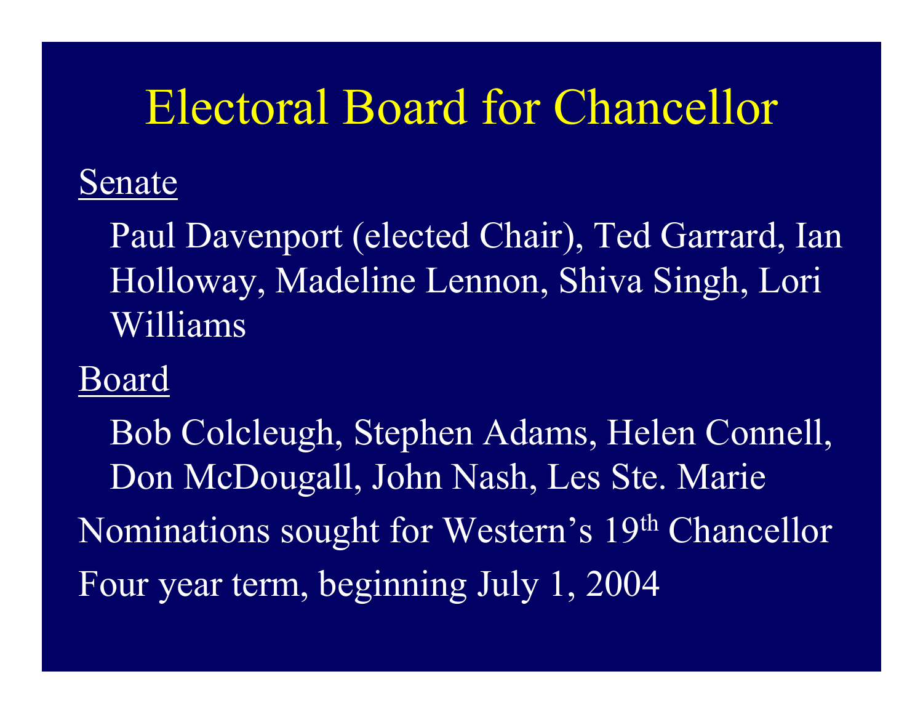## Electoral Board for Chancellor

### Senate

Paul Davenport (elected Chair), Ted Garrard, Ian Holloway, Madeline Lennon, Shiva Singh, Lori Williams

### Board

Bob Colcleugh, Stephen Adams, Helen Connell, Don McDougall, John Nash, Les Ste. Marie Nominations sought for Western's 19th Chancellor Four year term, beginning July 1, 2004